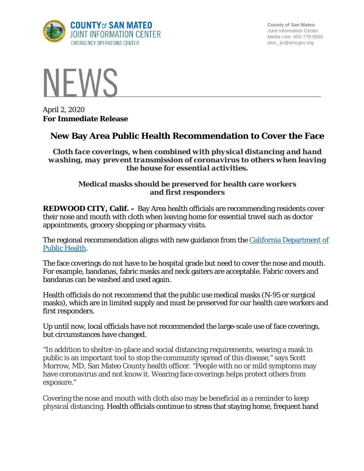

**County of San Mateo** Joint Information Center Media Line: 650-779-9939 smc\_ jic@smcgov.org



April 2, 2020 **For Immediate Release**

## **New Bay Area Public Health Recommendation to Cover the Face**

*Cloth face coverings, when combined with physical distancing and hand washing, may prevent transmission of coronavirus to others when leaving the house for essential activities.*

## **Medical masks should be preserved for health care workers and first responders**

**REDWOOD CITY, Calif. –** Bay Area health officials are recommending residents cover their nose and mouth with cloth when leaving home for essential travel such as doctor appointments, grocery shopping or pharmacy visits.

The regional recommendation aligns with new guidance from the [California Department of](https://www.cdph.ca.gov/Programs/CID/DCDC/Pages/Face-Coverings-Guidance.aspx)  [Public Health.](https://www.cdph.ca.gov/Programs/CID/DCDC/Pages/Face-Coverings-Guidance.aspx)

The face coverings do not have to be hospital grade but need to cover the nose and mouth. For example, bandanas, fabric masks and neck gaiters are acceptable. Fabric covers and bandanas can be washed and used again.

Health officials do not recommend that the public use medical masks (N-95 or surgical masks), which are in limited supply and must be preserved for our health care workers and first responders.

Up until now, local officials have not recommended the large-scale use of face coverings, but circumstances have changed.

"In addition to shelter-in-place and social distancing requirements, wearing a mask in public is an important tool to stop the community spread of this disease," says Scott Morrow, MD, San Mateo County health officer. "People with no or mild symptoms may have coronavirus and not know it. Wearing face coverings helps protect others from exposure."

Covering the nose and mouth with cloth also may be beneficial as a reminder to keep physical distancing. Health officials continue to stress that staying home, frequent hand